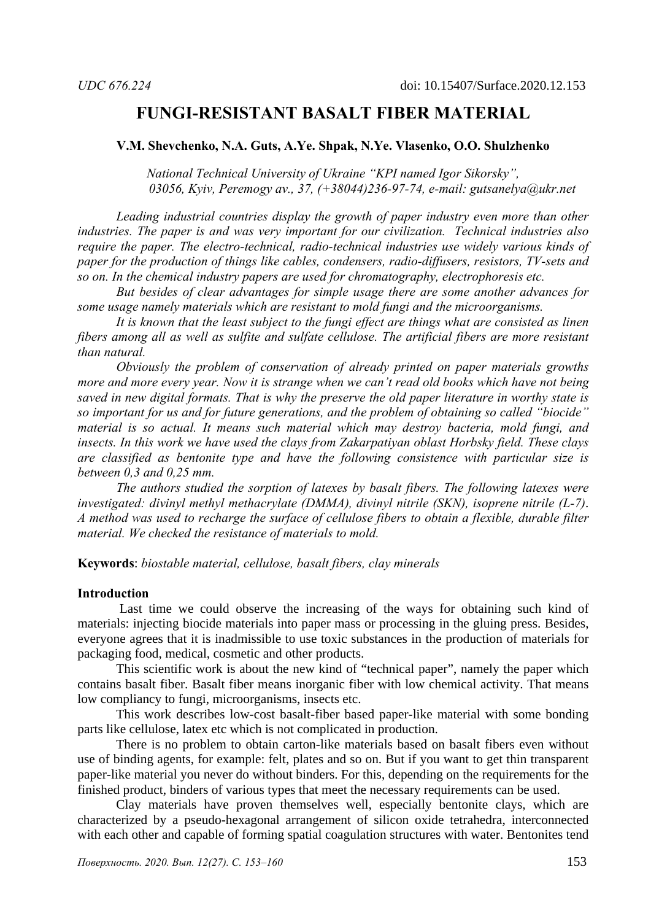# **FUNGI-RESISTANT BASALT FIBER MATERIAL**

#### **V.M. Shevchenko, N.A. Guts, A.Ye. Shpak, N.Ye. Vlasenko, O.O. Shulzhenko**

*National Technical University of Ukraine "KPI named Igor Sikorsky", 03056, Kyiv, Peremogy av., 37, (+38044)236-97-74, e-mail: gutsanelya@ukr.net*

*Leading industrial countries display the growth of paper industry even more than other industries. The paper is and was very important for our civilization. Technical industries also require the paper. The electro-technical, radio-technical industries use widely various kinds of paper for the production of things like cables, condensers, radio-diffusers, resistors, TV-sets and so on. In the chemical industry papers are used for chromatography, electrophoresis etc.* 

*But besides of clear advantages for simple usage there are some another advances for some usage namely materials which are resistant to mold fungi and the microorganisms.* 

*It is known that the least subject to the fungi effect are things what are consisted as linen fibers among all as well as sulfite and sulfate cellulose. The artificial fibers are more resistant than natural.* 

*Obviously the problem of conservation of already printed on paper materials growths more and more every year. Now it is strange when we can't read old books which have not being saved in new digital formats. That is why the preserve the old paper literature in worthy state is so important for us and for future generations, and the problem of obtaining so called "biocide" material is so actual. It means such material which may destroy bacteria, mold fungi, and insects. In this work we have used the clays from Zakarpatiyan oblast Horbsky field. These clays are classified as bentonite type and have the following consistence with particular size is between 0,3 and 0,25 mm.* 

*The authors studied the sorption of latexes by basalt fibers. The following latexes were investigated: divinyl methyl methacrylate (DMMA), divinyl nitrile (SKN), isoprene nitrile (L-7)*. *A method was used to recharge the surface of cellulose fibers to obtain a flexible, durable filter material. We checked the resistance of materials to mold.* 

**Keywords**: *biostable material, cellulose, basalt fibers, clay minerals* 

#### **Introduction**

 Last time we could observe the increasing of the ways for obtaining such kind of materials: injecting biocide materials into paper mass or processing in the gluing press. Besides, everyone agrees that it is inadmissible to use toxic substances in the production of materials for packaging food, medical, cosmetic and other products.

This scientific work is about the new kind of "technical paper", namely the paper which contains basalt fiber. Basalt fiber means inorganic fiber with low chemical activity. That means low compliancy to fungi, microorganisms, insects etc.

 This work describes low-cost basalt-fiber based paper-like material with some bonding parts like cellulose, latex etc which is not complicated in production.

There is no problem to obtain carton-like materials based on basalt fibers even without use of binding agents, for example: felt, plates and so on. But if you want to get thin transparent paper-like material you never do without binders. For this, depending on the requirements for the finished product, binders of various types that meet the necessary requirements can be used.

Clay materials have proven themselves well, especially bentonite clays, which are characterized by a pseudo-hexagonal arrangement of silicon oxide tetrahedra, interconnected with each other and capable of forming spatial coagulation structures with water. Bentonites tend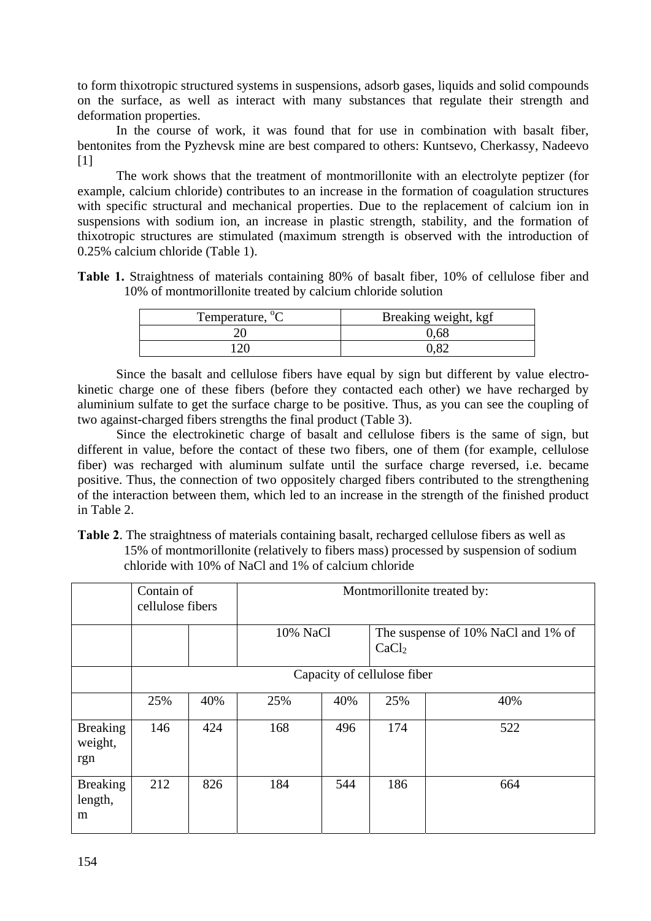to form thixotropic structured systems in suspensions, adsorb gases, liquids and solid compounds on the surface, as well as interact with many substances that regulate their strength and deformation properties.

In the course of work, it was found that for use in combination with basalt fiber, bentonites from the Pyzhevsk mine are best compared to others: Kuntsevo, Cherkassy, Nadeevo  $[1]$ 

The work shows that the treatment of montmorillonite with an electrolyte peptizer (for example, calcium chloride) contributes to an increase in the formation of coagulation structures with specific structural and mechanical properties. Due to the replacement of calcium ion in suspensions with sodium ion, an increase in plastic strength, stability, and the formation of thixotropic structures are stimulated (maximum strength is observed with the introduction of 0.25% calcium chloride (Table 1).

**Table 1.** Straightness of materials containing 80% of basalt fiber, 10% of cellulose fiber and 10% of montmorillonite treated by calcium chloride solution

| Temperature, <sup>o</sup> C | Breaking weight, kgf |
|-----------------------------|----------------------|
|                             | -68                  |
|                             |                      |

Since the basalt and cellulose fibers have equal by sign but different by value electrokinetic charge one of these fibers (before they contacted each other) we have recharged by aluminium sulfate to get the surface charge to be positive. Thus, as you can see the coupling of two against-charged fibers strengths the final product (Table 3).

Since the electrokinetic charge of basalt and cellulose fibers is the same of sign, but different in value, before the contact of these two fibers, one of them (for example, cellulose fiber) was recharged with aluminum sulfate until the surface charge reversed, i.e. became positive. Thus, the connection of two oppositely charged fibers contributed to the strengthening of the interaction between them, which led to an increase in the strength of the finished product in Table 2.

**Table 2**. The straightness of materials containing basalt, recharged cellulose fibers as well as 15% of montmorillonite (relatively to fibers mass) processed by suspension of sodium chloride with 10% of NaCl and 1% of calcium chloride

|                                   | Contain of<br>cellulose fibers |                             | Montmorillonite treated by: |     |                                                         |     |  |  |  |
|-----------------------------------|--------------------------------|-----------------------------|-----------------------------|-----|---------------------------------------------------------|-----|--|--|--|
|                                   |                                |                             | 10% NaCl                    |     | The suspense of 10% NaCl and 1% of<br>CaCl <sub>2</sub> |     |  |  |  |
|                                   |                                | Capacity of cellulose fiber |                             |     |                                                         |     |  |  |  |
|                                   | 25%                            | 40%                         | 25%                         | 40% | 25%                                                     | 40% |  |  |  |
| <b>Breaking</b><br>weight,<br>rgn | 146                            | 424                         | 168                         | 496 | 174                                                     | 522 |  |  |  |
| <b>Breaking</b><br>length,<br>m   | 212                            | 826                         | 184                         | 544 | 186                                                     | 664 |  |  |  |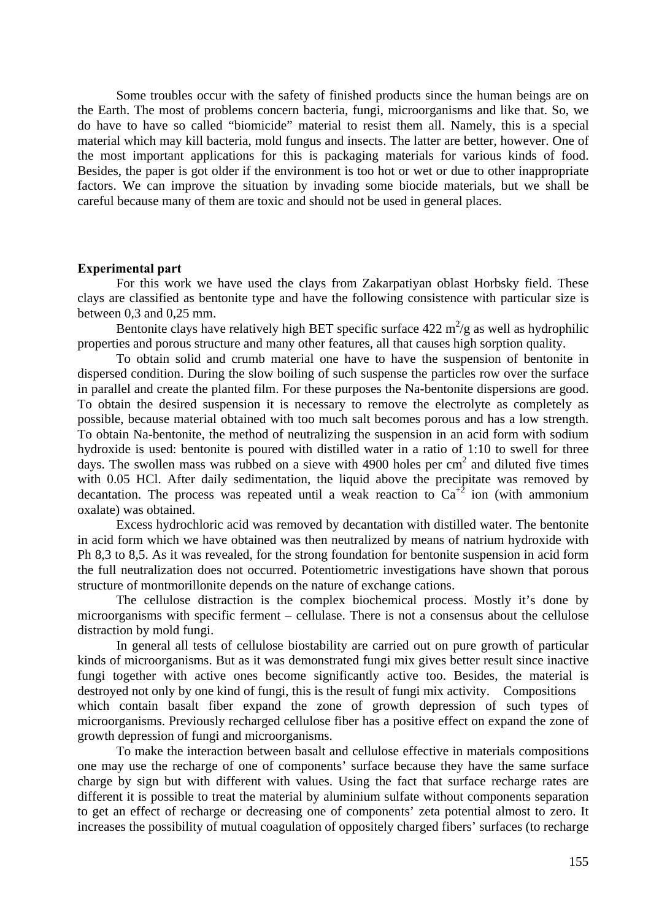Some troubles occur with the safety of finished products since the human beings are on the Earth. The most of problems concern bacteria, fungi, microorganisms and like that. So, we do have to have so called "biomicide" material to resist them all. Namely, this is a special material which may kill bacteria, mold fungus and insects. The latter are better, however. One of the most important applications for this is packaging materials for various kinds of food. Besides, the paper is got older if the environment is too hot or wet or due to other inappropriate factors. We can improve the situation by invading some biocide materials, but we shall be careful because many of them are toxic and should not be used in general places.

#### **Experimental part**

For this work we have used the clays from Zakarpatiyan oblast Horbsky field. These clays are classified as bentonite type and have the following consistence with particular size is between 0,3 and 0,25 mm.

Bentonite clays have relatively high BET specific surface  $422 \text{ m}^2/\text{g}$  as well as hydrophilic properties and porous structure and many other features, all that causes high sorption quality.

To obtain solid and crumb material one have to have the suspension of bentonite in dispersed condition. During the slow boiling of such suspense the particles row over the surface in parallel and create the planted film. For these purposes the Na-bentonite dispersions are good. To obtain the desired suspension it is necessary to remove the electrolyte as completely as possible, because material obtained with too much salt becomes porous and has a low strength. To obtain Na-bentonite, the method of neutralizing the suspension in an acid form with sodium hydroxide is used: bentonite is poured with distilled water in a ratio of 1:10 to swell for three days. The swollen mass was rubbed on a sieve with 4900 holes per  $cm<sup>2</sup>$  and diluted five times with 0.05 HCl. After daily sedimentation, the liquid above the precipitate was removed by decantation. The process was repeated until a weak reaction to  $Ca^{2}$  ion (with ammonium oxalate) was obtained.

 Excess hydrochloric acid was removed by decantation with distilled water. The bentonite in acid form which we have obtained was then neutralized by means of natrium hydroxide with Ph 8,3 to 8,5. As it was revealed, for the strong foundation for bentonite suspension in acid form the full neutralization does not occurred. Potentiometric investigations have shown that porous structure of montmorillonite depends on the nature of exchange cations.

 The cellulose distraction is the complex biochemical process. Mostly it's done by microorganisms with specific ferment – cellulase. There is not a consensus about the cellulose distraction by mold fungi.

In general all tests of cellulose biostability are carried out on pure growth of particular kinds of microorganisms. But as it was demonstrated fungi mix gives better result since inactive fungi together with active ones become significantly active too. Besides, the material is destroyed not only by one kind of fungi, this is the result of fungi mix activity. Compositions which contain basalt fiber expand the zone of growth depression of such types of microorganisms. Previously recharged cellulose fiber has a positive effect on expand the zone of growth depression of fungi and microorganisms.

To make the interaction between basalt and cellulose effective in materials compositions one may use the recharge of one of components' surface because they have the same surface charge by sign but with different with values. Using the fact that surface recharge rates are different it is possible to treat the material by aluminium sulfate without components separation to get an effect of recharge or decreasing one of components' zeta potential almost to zero. It increases the possibility of mutual coagulation of oppositely charged fibers' surfaces (to recharge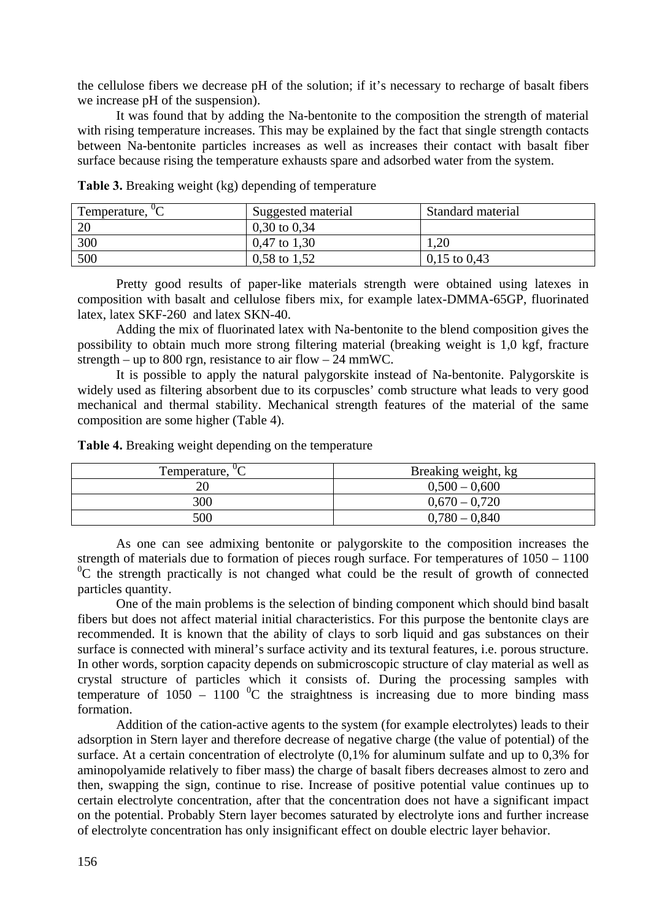the cellulose fibers we decrease pH of the solution; if it's necessary to recharge of basalt fibers we increase pH of the suspension).

 It was found that by adding the Na-bentonite to the composition the strength of material with rising temperature increases. This may be explained by the fact that single strength contacts between Na-bentonite particles increases as well as increases their contact with basalt fiber surface because rising the temperature exhausts spare and adsorbed water from the system.

| Temperature, <sup>"</sup> C | Suggested material | Standard material |
|-----------------------------|--------------------|-------------------|
| 20                          | $0,30$ to $0,34$   |                   |
| 300                         | $0,47$ to 1,30     | 1.20              |
| 500                         | 0,58 to $1,52$     | $0,15$ to $0,43$  |

**Table 3.** Breaking weight (kg) depending of temperature

 Pretty good results of paper-like materials strength were obtained using latexes in composition with basalt and cellulose fibers mix, for example latex-DMMA-65GP, fluorinated latex, latex SKF-260 and latex SKN-40.

 Adding the mix of fluorinated latex with Na-bentonite to the blend composition gives the possibility to obtain much more strong filtering material (breaking weight is 1,0 kgf, fracture strength – up to 800 rgn, resistance to air flow – 24 mmWC.

 It is possible to apply the natural palygorskite instead of Na-bentonite. Palygorskite is widely used as filtering absorbent due to its corpuscles' comb structure what leads to very good mechanical and thermal stability. Mechanical strength features of the material of the same composition are some higher (Table 4).

**Table 4.** Breaking weight depending on the temperature

| Temperature, <sup>"</sup> C | Breaking weight, kg |
|-----------------------------|---------------------|
| 20                          | $0,500 - 0,600$     |
| 300                         | $0.670 - 0.720$     |
| 500                         | $0,780 - 0,840$     |

 As one can see admixing bentonite or palygorskite to the composition increases the strength of materials due to formation of pieces rough surface. For temperatures of 1050 – 1100  ${}^{0}C$  the strength practically is not changed what could be the result of growth of connected particles quantity.

 One of the main problems is the selection of binding component which should bind basalt fibers but does not affect material initial characteristics. For this purpose the bentonite clays are recommended. It is known that the ability of clays to sorb liquid and gas substances on their surface is connected with mineral's surface activity and its textural features, i.e. porous structure. In other words, sorption capacity depends on submicroscopic structure of clay material as well as crystal structure of particles which it consists of. During the processing samples with temperature of  $1050 - 1100$  <sup>o</sup>C the straightness is increasing due to more binding mass formation.

 Addition of the cation-active agents to the system (for example electrolytes) leads to their adsorption in Stern layer and therefore decrease of negative charge (the value of potential) of the surface. At a certain concentration of electrolyte (0,1% for aluminum sulfate and up to 0,3% for aminopolyamide relatively to fiber mass) the charge of basalt fibers decreases almost to zero and then, swapping the sign, continue to rise. Increase of positive potential value continues up to certain electrolyte concentration, after that the concentration does not have a significant impact on the potential. Probably Stern layer becomes saturated by electrolyte ions and further increase of electrolyte concentration has only insignificant effect on double electric layer behavior.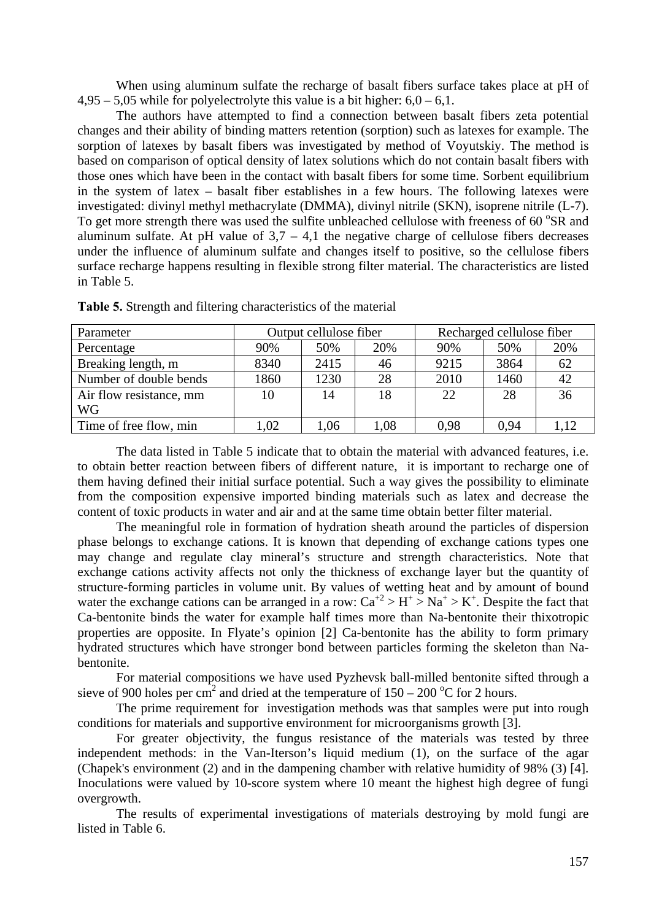When using aluminum sulfate the recharge of basalt fibers surface takes place at pH of  $4,95 - 5,05$  while for polyelectrolyte this value is a bit higher:  $6,0 - 6,1$ .

 The authors have attempted to find a connection between basalt fibers zeta potential changes and their ability of binding matters retention (sorption) such as latexes for example. The sorption of latexes by basalt fibers was investigated by method of Voyutskiy. The method is based on comparison of optical density of latex solutions which do not contain basalt fibers with those ones which have been in the contact with basalt fibers for some time. Sorbent equilibrium in the system of latex – basalt fiber establishes in a few hours. The following latexes were investigated: divinyl methyl methacrylate (DMMA), divinyl nitrile (SKN), isoprene nitrile (L-7). To get more strength there was used the sulfite unbleached cellulose with freeness of 60 °SR and aluminum sulfate. At pH value of  $3.7 - 4.1$  the negative charge of cellulose fibers decreases under the influence of aluminum sulfate and changes itself to positive, so the cellulose fibers surface recharge happens resulting in flexible strong filter material. The characteristics are listed in Table 5.

| Parameter               |      | Output cellulose fiber |      | Recharged cellulose fiber |      |      |  |  |
|-------------------------|------|------------------------|------|---------------------------|------|------|--|--|
| Percentage              | 90%  | 50%                    | 20%  | 90%                       | 50%  | 20%  |  |  |
| Breaking length, m      | 8340 | 2415                   | 46   | 9215                      | 3864 | 62   |  |  |
| Number of double bends  | 1860 | 1230                   | 28   | 2010                      | 1460 | 42   |  |  |
| Air flow resistance, mm | 10   | 14                     | 18   | 22                        | 28   | 36   |  |  |
| <b>WG</b>               |      |                        |      |                           |      |      |  |  |
| Time of free flow, min  | 1.02 | 1,06                   | 1.08 | 0.98                      | 0.94 | 1.12 |  |  |

**Table 5.** Strength and filtering characteristics of the material

 The data listed in Table 5 indicate that to obtain the material with advanced features, i.e. to obtain better reaction between fibers of different nature, it is important to recharge one of them having defined their initial surface potential. Such a way gives the possibility to eliminate from the composition expensive imported binding materials such as latex and decrease the content of toxic products in water and air and at the same time obtain better filter material.

 The meaningful role in formation of hydration sheath around the particles of dispersion phase belongs to exchange cations. It is known that depending of exchange cations types one may change and regulate clay mineral's structure and strength characteristics. Note that exchange cations activity affects not only the thickness of exchange layer but the quantity of structure-forming particles in volume unit. By values of wetting heat and by amount of bound water the exchange cations can be arranged in a row:  $Ca^{2} > H^{+} > Na^{+} > K^{+}$ . Despite the fact that Ca-bentonite binds the water for example half times more than Na-bentonite their thixotropic properties are opposite. In Flyate's opinion [2] Ca-bentonite has the ability to form primary hydrated structures which have stronger bond between particles forming the skeleton than Nabentonite.

 For material compositions we have used Pyzhevsk ball-milled bentonite sifted through a sieve of 900 holes per cm<sup>2</sup> and dried at the temperature of  $150 - 200$  °C for 2 hours.

 The prime requirement for investigation methods was that samples were put into rough conditions for materials and supportive environment for microorganisms growth [3].

 For greater objectivity, the fungus resistance of the materials was tested by three independent methods: in the Van-Iterson's liquid medium (1), on the surface of the agar (Chapek's environment (2) and in the dampening chamber with relative humidity of 98% (3) [4]. Inoculations were valued by 10-score system where 10 meant the highest high degree of fungi overgrowth.

 The results of experimental investigations of materials destroying by mold fungi are listed in Table 6.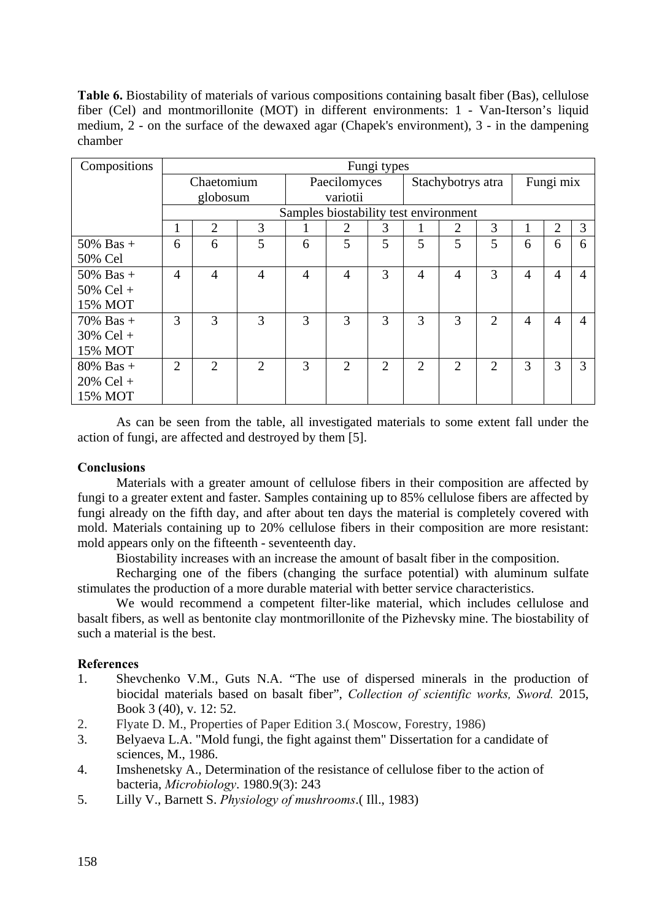**Table 6.** Biostability of materials of various compositions containing basalt fiber (Bas), cellulose fiber (Cel) and montmorillonite (MOT) in different environments: 1 - Van-Iterson's liquid medium, 2 - on the surface of the dewaxed agar (Chapek's environment), 3 - in the dampening chamber

| Compositions | Fungi types    |                |                |                                       |                |                   |                |                |                |                |                |   |
|--------------|----------------|----------------|----------------|---------------------------------------|----------------|-------------------|----------------|----------------|----------------|----------------|----------------|---|
|              | Chaetomium     |                |                | Paecilomyces                          |                | Stachybotrys atra |                |                | Fungi mix      |                |                |   |
|              | globosum       |                |                | variotii                              |                |                   |                |                |                |                |                |   |
|              |                |                |                | Samples biostability test environment |                |                   |                |                |                |                |                |   |
|              | 1              | $\overline{2}$ | 3              |                                       | $\overline{2}$ | 3                 |                | 2              | 3              |                | 2              | 3 |
| $50\%$ Bas + | 6              | 6              | 5              | 6                                     | 5              | 5                 | 5              | 5              | 5              | 6              | 6              | 6 |
| 50% Cel      |                |                |                |                                       |                |                   |                |                |                |                |                |   |
| $50\%$ Bas + | 4              | $\overline{4}$ | 4              | $\overline{4}$                        | $\overline{4}$ | 3                 | $\overline{4}$ | $\overline{4}$ | 3              | $\overline{4}$ | 4              | 4 |
| $50\%$ Cel + |                |                |                |                                       |                |                   |                |                |                |                |                |   |
| 15% MOT      |                |                |                |                                       |                |                   |                |                |                |                |                |   |
| $70\%$ Bas + | 3              | 3              | 3              | 3                                     | 3              | 3                 | 3              | 3              | $\overline{2}$ | $\overline{4}$ | $\overline{4}$ | 4 |
| $30\%$ Cel + |                |                |                |                                       |                |                   |                |                |                |                |                |   |
| 15% MOT      |                |                |                |                                       |                |                   |                |                |                |                |                |   |
| $80\%$ Bas + | $\overline{2}$ | 2              | $\overline{2}$ | 3                                     | $\overline{2}$ | $\overline{2}$    | 2              | $\overline{2}$ | $\overline{2}$ | 3              | 3              | 3 |
| $20\%$ Cel + |                |                |                |                                       |                |                   |                |                |                |                |                |   |
| 15% MOT      |                |                |                |                                       |                |                   |                |                |                |                |                |   |

As can be seen from the table, all investigated materials to some extent fall under the action of fungi, are affected and destroyed by them [5].

#### **Conclusions**

Materials with a greater amount of cellulose fibers in their composition are affected by fungi to a greater extent and faster. Samples containing up to 85% cellulose fibers are affected by fungi already on the fifth day, and after about ten days the material is completely covered with mold. Materials containing up to 20% cellulose fibers in their composition are more resistant: mold appears only on the fifteenth - seventeenth day.

Biostability increases with an increase the amount of basalt fiber in the composition.

 Recharging one of the fibers (changing the surface potential) with aluminum sulfate stimulates the production of a more durable material with better service characteristics.

 We would recommend a competent filter-like material, which includes cellulose and basalt fibers, as well as bentonite clay montmorillonite of the Pizhevsky mine. The biostability of such a material is the best.

## **References**

- 1. Shevchenko V.M., Guts N.A. "The use of dispersed minerals in the production of biocidal materials based on basalt fiber", *Collection of scientific works, Sword.* 2015, Book 3 (40), v. 12: 52.
- 2. Flyate D. M., Properties of Paper Edition 3.( Moscow, Forestry, 1986)
- 3. Belyaeva L.A. "Mold fungi, the fight against them" Dissertation for a candidate of sciences, M., 1986.
- 4. Imshenetsky A., Determination of the resistance of cellulose fiber to the action of bacteria, *Microbiology*. 1980.9(3): 243
- 5. Lilly V., Barnett S. *Physiology of mushrooms*.( Ill., 1983)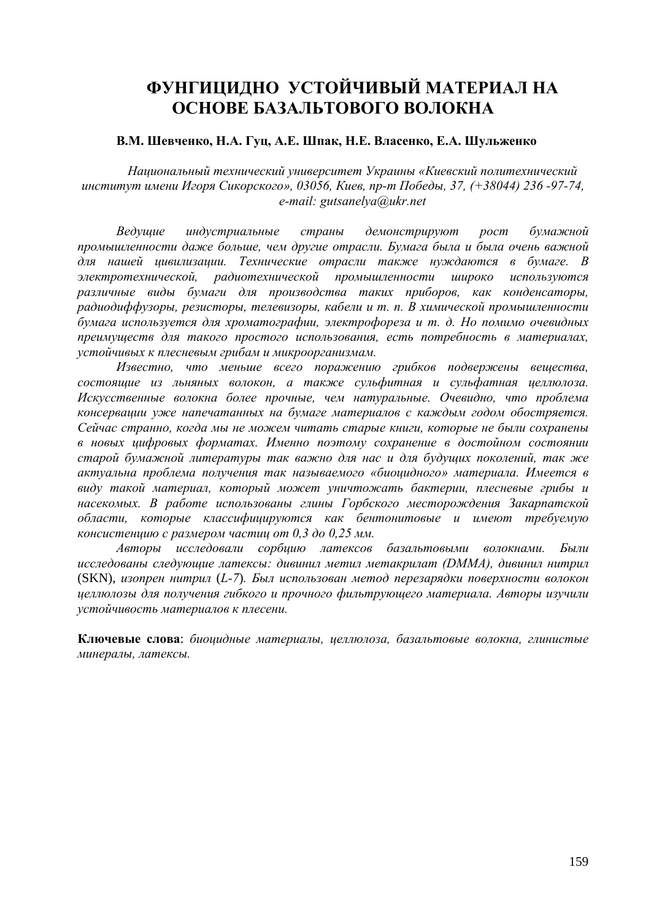# **ФУНГИЦИДНО УСТОЙЧИВЫЙ МАТЕРИАЛ НА ОСНОВЕ БАЗАЛЬТОВОГО ВОЛОКНА**

### В.М. Шевченко, Н.А. Гуц, А.Е. Шпак, Н.Е. Власенко, Е.А. Шульженко

*Национальный технический университет Украины «Киевский политехнический институт имени Игоря Сикорского», 03056, Киев, пр-т Победы, 37, (+38044) 236 -97-74, e-mail: gutsanelya@ukr.net* 

*Ведущие индустриальные страны демонстрируют рост бумажной промышленности даже больше, чем другие отрасли. Бумага была и была очень важной для нашей цивилизации. Технические отрасли также нуждаются в бумаге. В электротехнической, радиотехнической промышленности широко используются различные виды бумаги для производства таких приборов, как конденсаторы, радиодиффузоры, резисторы, телевизоры, кабели и т. п. В химической промышленности бумага используется для хроматографии, электрофореза и т. д. Но помимо очевидных преимуществ для такого простого использования, есть потребность в материалах, устойчивых к плесневым грибам и микроорганизмам.* 

*Известно, что меньше всего поражению грибков подвержены вещества, состоящие из льняных волокон, а также сульфитная и сульфатная целлюлоза. Искусственные волокна более прочные, чем натуральные. Очевидно, что проблема консервации уже напечатанных на бумаге материалов с каждым годом обостряется. Сейчас странно, когда мы не можем читать старые книги, которые не были сохранены в новых цифровых форматах. Именно поэтому сохранение в достойном состоянии старой бумажной литературы так важно для нас и для будущих поколений, так же актуальна проблема получения так называемого «биоцидного» материала. Имеется в виду такой материал, который может уничтожать бактерии, плесневые грибы и насекомых. В работе использованы глины Горбского месторождения Закарпатской области, которые классифицируются как бентонитовые и имеют требуемую консистенцию с размером частиц от 0,3 до 0,25 мм.* 

*Авторы исследовали сорбцию латексов базальтовыми волокнами. Были исследованы следующие латексы: дивинил метил метакрилат (DMMA), дивинил нитрил* (SKN), *изопрен нитрил* (*L-7*)*. Был использован метод перезарядки поверхности волокон целлюлозы для получения гибкого и прочного фильтрующего материала. Авторы изучили устойчивость материалов к плесени.* 

**Ключевые слова**: *биоцидные материалы, целлюлоза, базальтовые волокна, глинистые минералы, латексы.*